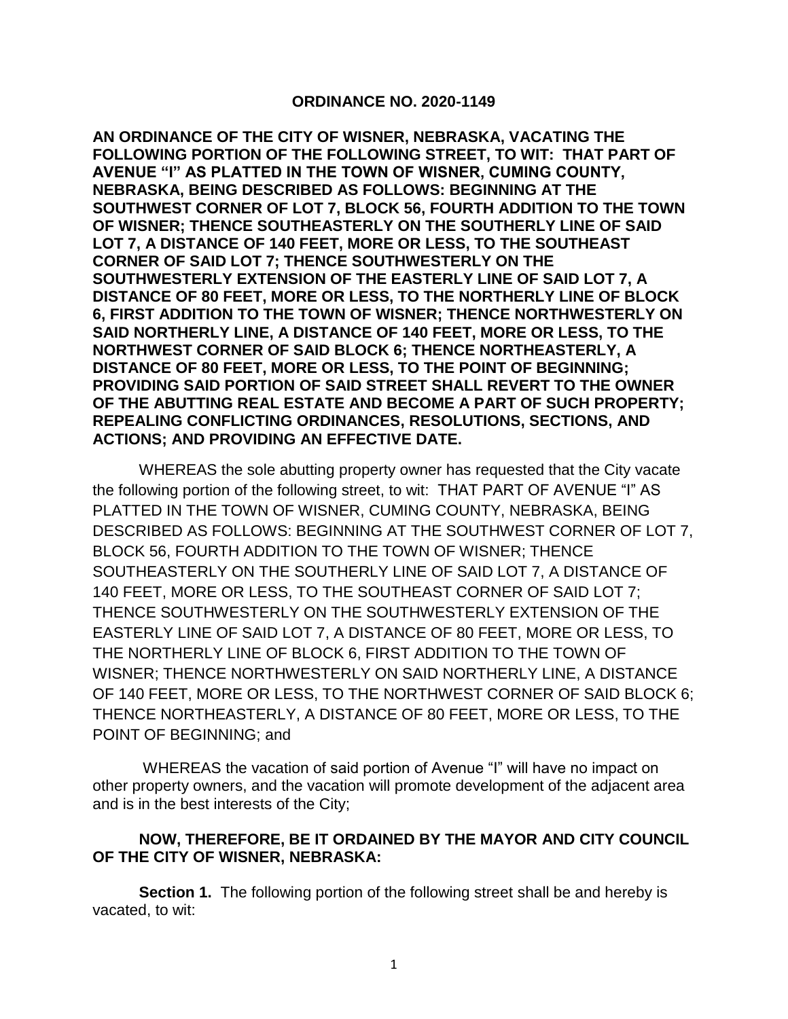## **ORDINANCE NO. 2020-1149**

**AN ORDINANCE OF THE CITY OF WISNER, NEBRASKA, VACATING THE FOLLOWING PORTION OF THE FOLLOWING STREET, TO WIT: THAT PART OF AVENUE "I" AS PLATTED IN THE TOWN OF WISNER, CUMING COUNTY, NEBRASKA, BEING DESCRIBED AS FOLLOWS: BEGINNING AT THE SOUTHWEST CORNER OF LOT 7, BLOCK 56, FOURTH ADDITION TO THE TOWN OF WISNER; THENCE SOUTHEASTERLY ON THE SOUTHERLY LINE OF SAID LOT 7, A DISTANCE OF 140 FEET, MORE OR LESS, TO THE SOUTHEAST CORNER OF SAID LOT 7; THENCE SOUTHWESTERLY ON THE SOUTHWESTERLY EXTENSION OF THE EASTERLY LINE OF SAID LOT 7, A DISTANCE OF 80 FEET, MORE OR LESS, TO THE NORTHERLY LINE OF BLOCK 6, FIRST ADDITION TO THE TOWN OF WISNER; THENCE NORTHWESTERLY ON SAID NORTHERLY LINE, A DISTANCE OF 140 FEET, MORE OR LESS, TO THE NORTHWEST CORNER OF SAID BLOCK 6; THENCE NORTHEASTERLY, A DISTANCE OF 80 FEET, MORE OR LESS, TO THE POINT OF BEGINNING; PROVIDING SAID PORTION OF SAID STREET SHALL REVERT TO THE OWNER OF THE ABUTTING REAL ESTATE AND BECOME A PART OF SUCH PROPERTY; REPEALING CONFLICTING ORDINANCES, RESOLUTIONS, SECTIONS, AND ACTIONS; AND PROVIDING AN EFFECTIVE DATE.** 

WHEREAS the sole abutting property owner has requested that the City vacate the following portion of the following street, to wit: THAT PART OF AVENUE "I" AS PLATTED IN THE TOWN OF WISNER, CUMING COUNTY, NEBRASKA, BEING DESCRIBED AS FOLLOWS: BEGINNING AT THE SOUTHWEST CORNER OF LOT 7, BLOCK 56, FOURTH ADDITION TO THE TOWN OF WISNER; THENCE SOUTHEASTERLY ON THE SOUTHERLY LINE OF SAID LOT 7, A DISTANCE OF 140 FEET, MORE OR LESS, TO THE SOUTHEAST CORNER OF SAID LOT 7; THENCE SOUTHWESTERLY ON THE SOUTHWESTERLY EXTENSION OF THE EASTERLY LINE OF SAID LOT 7, A DISTANCE OF 80 FEET, MORE OR LESS, TO THE NORTHERLY LINE OF BLOCK 6, FIRST ADDITION TO THE TOWN OF WISNER; THENCE NORTHWESTERLY ON SAID NORTHERLY LINE, A DISTANCE OF 140 FEET, MORE OR LESS, TO THE NORTHWEST CORNER OF SAID BLOCK 6; THENCE NORTHEASTERLY, A DISTANCE OF 80 FEET, MORE OR LESS, TO THE POINT OF BEGINNING; and

WHEREAS the vacation of said portion of Avenue "I" will have no impact on other property owners, and the vacation will promote development of the adjacent area and is in the best interests of the City;

## **NOW, THEREFORE, BE IT ORDAINED BY THE MAYOR AND CITY COUNCIL OF THE CITY OF WISNER, NEBRASKA:**

**Section 1.** The following portion of the following street shall be and hereby is vacated, to wit: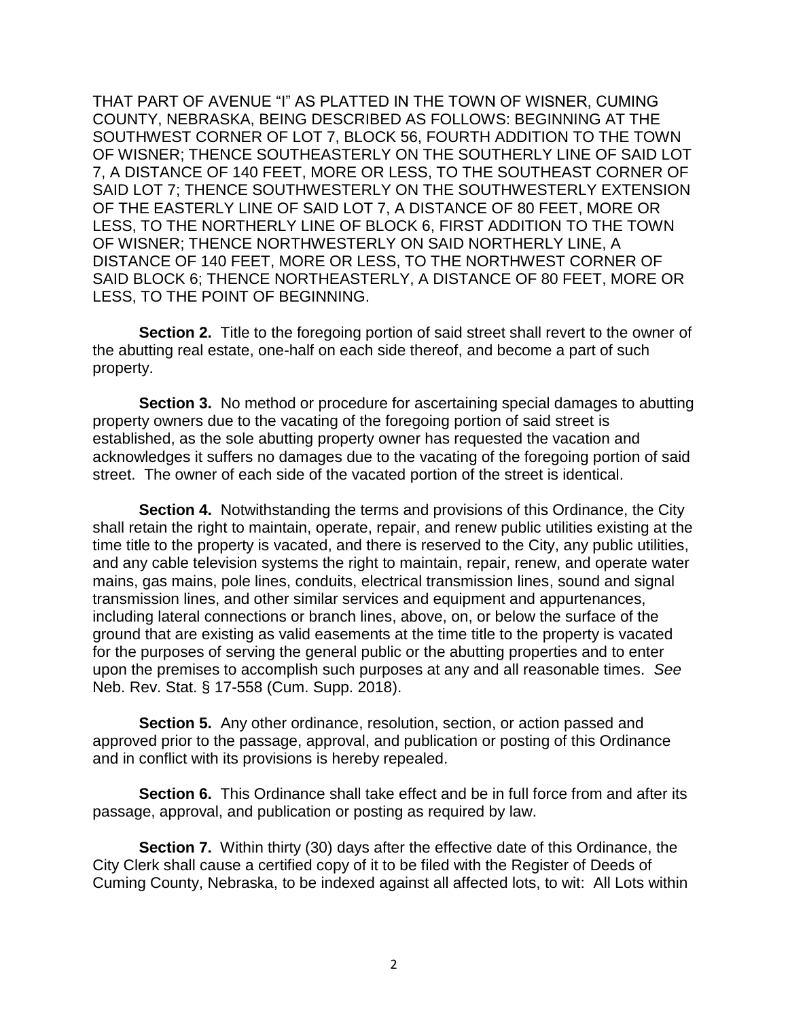THAT PART OF AVENUE "I" AS PLATTED IN THE TOWN OF WISNER, CUMING COUNTY, NEBRASKA, BEING DESCRIBED AS FOLLOWS: BEGINNING AT THE SOUTHWEST CORNER OF LOT 7, BLOCK 56, FOURTH ADDITION TO THE TOWN OF WISNER; THENCE SOUTHEASTERLY ON THE SOUTHERLY LINE OF SAID LOT 7, A DISTANCE OF 140 FEET, MORE OR LESS, TO THE SOUTHEAST CORNER OF SAID LOT 7; THENCE SOUTHWESTERLY ON THE SOUTHWESTERLY EXTENSION OF THE EASTERLY LINE OF SAID LOT 7, A DISTANCE OF 80 FEET, MORE OR LESS, TO THE NORTHERLY LINE OF BLOCK 6, FIRST ADDITION TO THE TOWN OF WISNER; THENCE NORTHWESTERLY ON SAID NORTHERLY LINE, A DISTANCE OF 140 FEET, MORE OR LESS, TO THE NORTHWEST CORNER OF SAID BLOCK 6; THENCE NORTHEASTERLY, A DISTANCE OF 80 FEET, MORE OR LESS, TO THE POINT OF BEGINNING.

**Section 2.** Title to the foregoing portion of said street shall revert to the owner of the abutting real estate, one-half on each side thereof, and become a part of such property.

**Section 3.** No method or procedure for ascertaining special damages to abutting property owners due to the vacating of the foregoing portion of said street is established, as the sole abutting property owner has requested the vacation and acknowledges it suffers no damages due to the vacating of the foregoing portion of said street. The owner of each side of the vacated portion of the street is identical.

**Section 4.** Notwithstanding the terms and provisions of this Ordinance, the City shall retain the right to maintain, operate, repair, and renew public utilities existing at the time title to the property is vacated, and there is reserved to the City, any public utilities, and any cable television systems the right to maintain, repair, renew, and operate water mains, gas mains, pole lines, conduits, electrical transmission lines, sound and signal transmission lines, and other similar services and equipment and appurtenances, including lateral connections or branch lines, above, on, or below the surface of the ground that are existing as valid easements at the time title to the property is vacated for the purposes of serving the general public or the abutting properties and to enter upon the premises to accomplish such purposes at any and all reasonable times. *See* Neb. Rev. Stat. § 17-558 (Cum. Supp. 2018).

**Section 5.** Any other ordinance, resolution, section, or action passed and approved prior to the passage, approval, and publication or posting of this Ordinance and in conflict with its provisions is hereby repealed.

**Section 6.** This Ordinance shall take effect and be in full force from and after its passage, approval, and publication or posting as required by law.

**Section 7.** Within thirty (30) days after the effective date of this Ordinance, the City Clerk shall cause a certified copy of it to be filed with the Register of Deeds of Cuming County, Nebraska, to be indexed against all affected lots, to wit: All Lots within